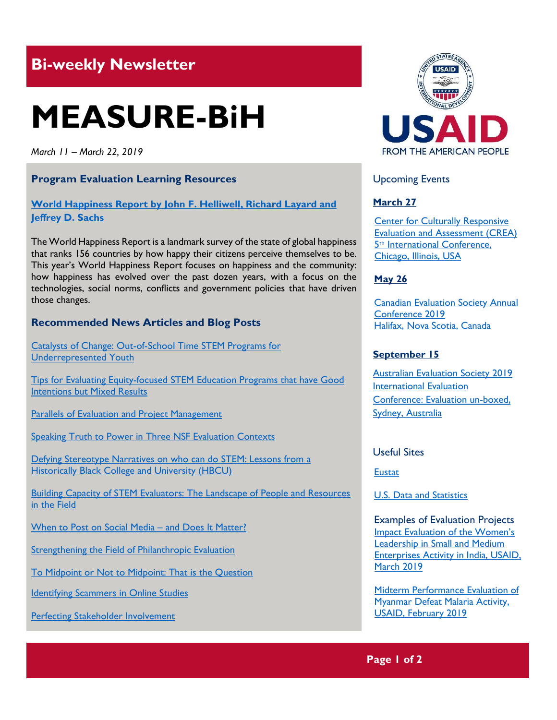# **Bi-weekly Newsletter**

# **MEASURE-BiH**

*March 11 – March 22, 2019*

# **Program Evaluation Learning Resources**

# **World Happiness Report [by John F. Helliwell, Richard Layard and](https://s3.amazonaws.com/happiness-report/2019/WHR19.pdf)  [Jeffrey D. Sachs](https://s3.amazonaws.com/happiness-report/2019/WHR19.pdf)**

The World Happiness Report is a landmark survey of the state of global happiness that ranks 156 countries by how happy their citizens perceive themselves to be. This year's World Happiness Report focuses on happiness and the community: how happiness has evolved over the past dozen years, with a focus on the technologies, social norms, conflicts and government policies that have driven those changes.

# **Recommended News Articles and Blog Posts**

[Catalysts of Change: Out-of-School Time STEM Programs for](https://aea365.org/blog/stem-tig-week-catalysts-of-change-out-of-school-time-stem-programs-for-underrepresented-youth-by-shetay-ashford-hanserd-garima-bansal-and-rosio-pedroso/)  [Underrepresented Youth](https://aea365.org/blog/stem-tig-week-catalysts-of-change-out-of-school-time-stem-programs-for-underrepresented-youth-by-shetay-ashford-hanserd-garima-bansal-and-rosio-pedroso/)

[Tips for Evaluating Equity-focused STEM Education Programs that have Good](https://aea365.org/blog/stem-tig-week-tips-for-evaluating-equity-focused-stem-education-programs-that-have-good-intentions-but-mixed-results-by-elizabeth-pierson-sophia-mansori-jamie-kynn-and-sara-greller/)  [Intentions but Mixed Results](https://aea365.org/blog/stem-tig-week-tips-for-evaluating-equity-focused-stem-education-programs-that-have-good-intentions-but-mixed-results-by-elizabeth-pierson-sophia-mansori-jamie-kynn-and-sara-greller/)

[Parallels of Evaluation and Project Management](https://aea365.org/blog/stem-tig-week-parallels-of-evaluation-and-project-management-by-robin-taylor-erin-burr-and-ann-martin/)

[Speaking Truth to Power in Three NSF Evaluation Contexts](https://aea365.org/blog/speaking-truth-to-power-in-three-nsf-evaluation-contexts-by-ayesha-boyce-adeyemo-adetogun-cherie-avent-and-grettel-arias-orozco/)

[Defying Stereotype Narratives on who can](https://aea365.org/blog/stem-tig-week-defying-stereotype-narratives-on-who-can-do-stem-lessons-from-a-historically-black-college-and-university-hbcu-by-john-chikwem-toks-fashola-kevin-favor-and-monica-mitchell/) do STEM: Lessons from a [Historically Black College and University \(HBCU\)](https://aea365.org/blog/stem-tig-week-defying-stereotype-narratives-on-who-can-do-stem-lessons-from-a-historically-black-college-and-university-hbcu-by-john-chikwem-toks-fashola-kevin-favor-and-monica-mitchell/)

[Building Capacity of STEM Evaluators: The Landscape of People and Resources](https://aea365.org/blog/stem-tig-week-building-capacity-of-stem-evaluators-the-landscape-of-people-and-resources-in-the-field-by-sophia-mansori-tracy-mcmahon-evangeline-ambat-and-leslie-goodyear/)  [in the Field](https://aea365.org/blog/stem-tig-week-building-capacity-of-stem-evaluators-the-landscape-of-people-and-resources-in-the-field-by-sophia-mansori-tracy-mcmahon-evangeline-ambat-and-leslie-goodyear/)

[When to Post on Social Media](https://aea365.org/blog/when-to-post-on-social-media-and-does-it-matter-by-jessica-byrnes/) – and Does It Matter?

[Strengthening the Field of Philanthropic Evaluation](https://aea365.org/blog/strengthening-the-field-of-philanthropic-evaluation-by-clare-nolan-and-meg-long-by-clare-nolan-and-meg-long/)

[To Midpoint or Not to Midpoint: That is the Question](https://aea365.org/blog/to-midpoint-or-not-to-midpoint-that-is-the-question-by-david-bernstein/)

**[Identifying Scammers in Online Studies](https://aea365.org/blog/identifying-scammers-in-online-studies-by-elizabeth-cook-makedah-johnson-and-jennifer-manlove/)** 

[Perfecting Stakeholder Involvement](https://aea365.org/blog/perfecting-stakeholder-involvement-by-mary-lou-dallegro/)



# Upcoming Events

### **March 27**

[Center for Culturally Responsive](https://mande.co.uk/conferences/?event_id1=7277)  [Evaluation and Assessment \(CREA\)](https://mande.co.uk/conferences/?event_id1=7277)  5th [International Conference,](https://mande.co.uk/conferences/?event_id1=7277)  [Chicago, Illinois, USA](https://mande.co.uk/conferences/?event_id1=7277) 

#### **May 26**

[Canadian Evaluation Society Annual](https://mande.co.uk/conferences/?event_id1=7352)  [Conference 2019](https://mande.co.uk/conferences/?event_id1=7352) [Halifax, Nova Scotia, Canada](https://mande.co.uk/conferences/?event_id1=7352)

#### **September 15**

[Australian Evaluation Society 2019](https://mande.co.uk/conferences/?event_id1=7421)  [International Evaluation](https://mande.co.uk/conferences/?event_id1=7421)  [Conference: Evaluation un-boxed,](https://mande.co.uk/conferences/?event_id1=7421)  [Sydney, Australia](https://mande.co.uk/conferences/?event_id1=7421)

#### Useful Sites

**[Eustat](http://www.eustat.eus/indice.html)** 

[U.S. Data and Statistics](https://www.usa.gov/statistics) 

Examples of Evaluation Projects [Impact Evaluation of the W](https://dec.usaid.gov/dec/content/Detail_Presto.aspx?ctID=ODVhZjk4NWQtM2YyMi00YjRmLTkxNjktZTcxMjM2NDBmY2Uy&rID=NTE3OTE2&qrs=RmFsc2U%3d&q=KERvY3VtZW50cy5CaWJ0eXBlX05hbWU6KCgiU3BlY2lhbCBFdmFsdWF0aW9uIikgT1IgKCJGaW5hbCBFdmFsdWF0aW9uIFJlcG9ydCIpKSk%3d&ph=VHJ1ZQ%3d%3d&bckToL=VHJ1ZQ%3d%3d&rrtc=VHJ1ZQ%3d%3d)omen's [Leadership in Small and Medium](https://dec.usaid.gov/dec/content/Detail_Presto.aspx?ctID=ODVhZjk4NWQtM2YyMi00YjRmLTkxNjktZTcxMjM2NDBmY2Uy&rID=NTE3OTE2&qrs=RmFsc2U%3d&q=KERvY3VtZW50cy5CaWJ0eXBlX05hbWU6KCgiU3BlY2lhbCBFdmFsdWF0aW9uIikgT1IgKCJGaW5hbCBFdmFsdWF0aW9uIFJlcG9ydCIpKSk%3d&ph=VHJ1ZQ%3d%3d&bckToL=VHJ1ZQ%3d%3d&rrtc=VHJ1ZQ%3d%3d)  [Enterprises Activity in India, USAID,](https://dec.usaid.gov/dec/content/Detail_Presto.aspx?ctID=ODVhZjk4NWQtM2YyMi00YjRmLTkxNjktZTcxMjM2NDBmY2Uy&rID=NTE3OTE2&qrs=RmFsc2U%3d&q=KERvY3VtZW50cy5CaWJ0eXBlX05hbWU6KCgiU3BlY2lhbCBFdmFsdWF0aW9uIikgT1IgKCJGaW5hbCBFdmFsdWF0aW9uIFJlcG9ydCIpKSk%3d&ph=VHJ1ZQ%3d%3d&bckToL=VHJ1ZQ%3d%3d&rrtc=VHJ1ZQ%3d%3d)  [March](https://dec.usaid.gov/dec/content/Detail_Presto.aspx?ctID=ODVhZjk4NWQtM2YyMi00YjRmLTkxNjktZTcxMjM2NDBmY2Uy&rID=NTE3OTE2&qrs=RmFsc2U%3d&q=KERvY3VtZW50cy5CaWJ0eXBlX05hbWU6KCgiU3BlY2lhbCBFdmFsdWF0aW9uIikgT1IgKCJGaW5hbCBFdmFsdWF0aW9uIFJlcG9ydCIpKSk%3d&ph=VHJ1ZQ%3d%3d&bckToL=VHJ1ZQ%3d%3d&rrtc=VHJ1ZQ%3d%3d) 2019

[Midterm Performance Evaluation of](https://dec.usaid.gov/dec/content/Detail_Presto.aspx?ctID=ODVhZjk4NWQtM2YyMi00YjRmLTkxNjktZTcxMjM2NDBmY2Uy&rID=NTE3ODg2&qrs=RmFsc2U%3d&q=KERvY3VtZW50cy5CaWJ0eXBlX05hbWU6KCgiU3BlY2lhbCBFdmFsdWF0aW9uIikgT1IgKCJGaW5hbCBFdmFsdWF0aW9uIFJlcG9ydCIpKSk%3d&ph=VHJ1ZQ%3d%3d&bckToL=VHJ1ZQ%3d%3d&rrtc=VHJ1ZQ%3d%3d)  [Myanmar Defeat Malaria Activity,](https://dec.usaid.gov/dec/content/Detail_Presto.aspx?ctID=ODVhZjk4NWQtM2YyMi00YjRmLTkxNjktZTcxMjM2NDBmY2Uy&rID=NTE3ODg2&qrs=RmFsc2U%3d&q=KERvY3VtZW50cy5CaWJ0eXBlX05hbWU6KCgiU3BlY2lhbCBFdmFsdWF0aW9uIikgT1IgKCJGaW5hbCBFdmFsdWF0aW9uIFJlcG9ydCIpKSk%3d&ph=VHJ1ZQ%3d%3d&bckToL=VHJ1ZQ%3d%3d&rrtc=VHJ1ZQ%3d%3d) [USAID, February](https://dec.usaid.gov/dec/content/Detail_Presto.aspx?ctID=ODVhZjk4NWQtM2YyMi00YjRmLTkxNjktZTcxMjM2NDBmY2Uy&rID=NTE3ODg2&qrs=RmFsc2U%3d&q=KERvY3VtZW50cy5CaWJ0eXBlX05hbWU6KCgiU3BlY2lhbCBFdmFsdWF0aW9uIikgT1IgKCJGaW5hbCBFdmFsdWF0aW9uIFJlcG9ydCIpKSk%3d&ph=VHJ1ZQ%3d%3d&bckToL=VHJ1ZQ%3d%3d&rrtc=VHJ1ZQ%3d%3d) 2019

# **Page 1 of 2**